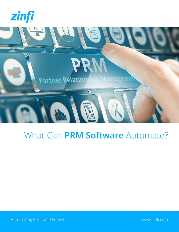



# What Can **PRM Software** Automate?

Automating Profitable Growth™ [www.zinfi.com](http://www.zinfi.com)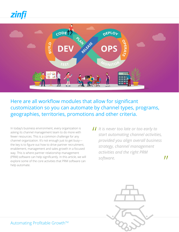



Here are all workflow modules that allow for significant customization so you can automate by channel types, programs, geographies, territories, promotions and other criteria.

In today's business environment, every organization is asking its channel management team to do more with fewer resources. This is a common challenge for any channel organization. It's not enough just to get busy the key is to figure out how to drive partner recruitment, enablement, management and sales growth in a focused way. This is where partner relationship management (PRM) software can help significantly. In this article, we will explore some of the core activities that PRM software can help automate.

*I* It is never too late or too early to<br>start automating channel activities *start automating channel activities, provided you align overall business strategy, channel management activities and the right PRM software.*

"



Automating Profitable Growth™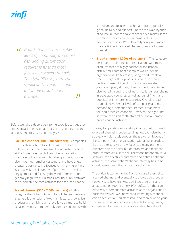**11** Broad channels have higher<br>
levels of complexity and mor *levels of complexity and more demanding automation requirements than most focused or scaled channels. The right PRM software can significantly streamline and automate broad channel activities.*

 $\boldsymbol{\prime\prime}$ 

Before we take a deep dive into the specific activities that PRM software can automate, let's discuss briefly how the activities tend to vary by company size.

- **• Focused channel (100 500 partners)**  Companies in this category tend to sell through the channel independent of their own size. In our customer base at ZINFI, we have multibillion-dollar organizations that have only a couple of hundred partners, but we also have much smaller customers who have a few thousand partners. In a focused channel where there is a relatively small number of partners, the level of engagement and focus by the vendor organization is generally high. We will discuss later how PRM software can automate the core activities for a focused channel.
- **• Scaled channel (500 2,500 partners)** In this category, the higher total number of channel partners is generally a function of two main factors: a low-price product with a high reach that allows partners to build service revenue, or moderately complex solutions with

a medium and focused reach that require specialized global delivery and support. There are always hybrids, of course, but for the sake of simplicity it makes sense to define a scaled channel in terms of these two primary scenarios. PRM software typically automates more activities in a scaled channel than in a focused channel.

**Broad channel (1,000s of partners)** – This category describes the channel for organizations with many products that are highly horizontal and broadly distributed. Prominent examples would include organizations like Microsoft, Google and Dropbox where usage of their products is quite horizontal. Certain household product companies are also good examples , although their products tend to get distributed through broadliners —e., large retail chains in developed countries, as well as lots of "mom and pop" stores in emerging countries. Overall, broad channels have higher levels of complexity and more demanding automation requirements than most focused or scaled channels. However, the right PRM software can significantly streamline and automate broad channel activities.

The key to operating successfully in a focused or scaled or broad channel is understanding how your distribution strategy will ultimately support the growth ambitions of the company. For an organization with a niche product that has a relatively narrow focus, too many partners can create an over-distribution problem and make the product more difficult to sell. Therefore, before any PRM software can effectively automate and optimize channel activities, the organization's channel strategy has to be closely aligned with the nature of its channel.

The critical factor in moving from a focused channel to a scaled channel and eventually to a broad distribution network is to have highly streamlined programs and an automation tool—namely, PRM software—that can effectively automate more activities as the organization's business evolves. We know that automating a channel can be sequential: You start small and then build on your successes. This rule is most applicable to fast-growing companies. However, if your organization has already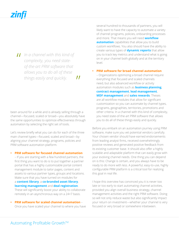*II* In a channel with this kind of<br>
complexity, you need state-<br>
of the art PPM software that *complexity, you need stateof-the-art PRM software that allows you to do all of these things easily and quickly.*  $\boldsymbol{\prime\prime}$ 

been around for a while and is already selling through a channel—focused, scaled or broad—you absolutely have the same opportunities to optimize effectiveness through automation by selecting the right set of tools.

Let's review briefly what you can do for each of the three main channel types—focused, scaled and broad—by aligning your channel strategy, programs, policies and PRM software automation platform.

# **• PRM software for focused channel automation**

– If you are starting with a few hundred partners, the first thing you want to do is to put together a partner portal that has a highly customizable portal content management module to tailor pages, content and assets to various partner types, groups and locations. Make sure that you have turned on modules for a **[content library](https://www.zinfi.com/products/partner-portal-management/library-management)**, a **[co-branded asset library](https://www.zinfi.com/products/partner-portal-management/co-branded-assets-management)**, **[learning management](https://www.zinfi.com/products/partner-relationship-management/partner-learning-management)** and **[deal registration](https://www.zinfi.com/products/partner-relationship-management/deal-registration)**.

These will significantly boost your ability to collaborate remotely in an asynchronous way on a 24×7 basis.

**• PRM software for scaled channel automation** – Once you have scaled your channel to where you have several hundred to thousands of partners, you will likely want to have the capacity to automate a variety of channel programs, policies, onboarding processes and more. That means you will need **[workflow](https://www.zinfi.com/products/portal-administration-management/workflow-management-flexiflow)  [automation](https://www.zinfi.com/products/portal-administration-management/workflow-management-flexiflow)** capabilities that allow you to build custom workflows. You also should have the ability to create various types of **[dynamic reports](https://www.zinfi.com/products/partner-relationship-management/business-intelligence-reports/)** that allow you to track key metrics and understand what is going on in your channel both globally and at the territory level.

**• PRM software for broad channel automation** – Organizations optimizing a broad channel require everything that focused and scaled channels need, but also advanced workflow or activity automation modules such as **[business planning](https://www.zinfi.com/products/partner-relationship-management/partner-business-planning/)**, **[contract management](https://www.zinfi.com/products/partner-relationship-management/partner-contracts-management/)**, **[lead management](https://www.zinfi.com/products/partner-relationship-management/partner-lead-management/)**, **[MDF management](https://www.zinfi.com/products/partner-relationship-management/market-development-funds-management/)** and **[sales rewards](https://www.zinfi.com/products/partner-sales-management/rewards-management)**. Theses are all workflow modules that allow for significant customization so you can automate by channel types, programs, geographies, territories, promotions and other criteria. In a channel with this kind of complexity, you need state-of-the-art PRM software that allows you to do all of these things easily and quickly.

Before you embark on an automation journey using PRM software, make sure you vet potential vendors carefully. Your chosen vendor should have earned endorsements from leading analyst firms, received overwhelmingly positive reviews and generated positive feedback from its existing customer base. It should also offer a highly scalable and adaptable platform that can easily grow with your evolving channel needs. One thing you can depend on is this: Change is certain, and you always have to be ready to do more with less. A powerful, easy-to-use, highly configurable PRM platform is a critical tool for realizing this goal in real life.

I hope this overview has convinced you it is never too late or too early to start automating channel activities, provided you align overall business strategy, channel management activities and the right PRM software. Doing so will not only reduce waste but also significantly impact your return on investment—whether your channel is very focused or very broad or somewhere inbetween.